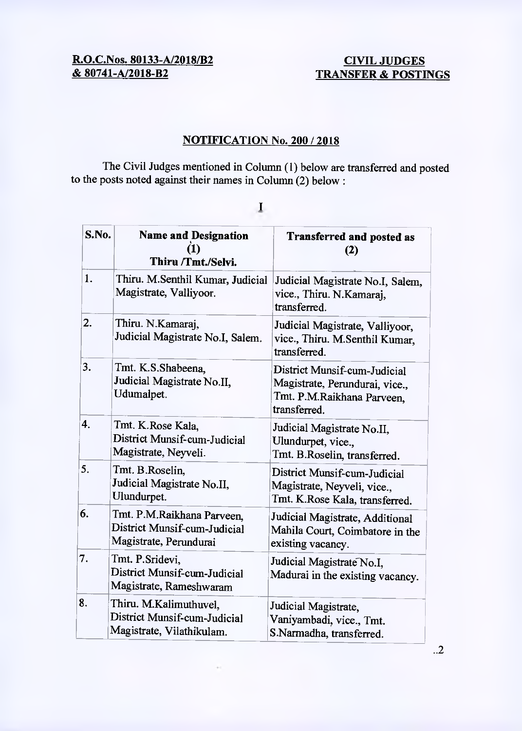# **R.O.C.Nos. 80133-A/2018/B2** CIVIL JUDGES<br> **& 80741-A/2018-B2** TRANSFER & POSTI

## **TRANSFER & POSTINGS**

### **NOTIFICATION No. 200 / 2018**

**The** Civil Judges mentioned in Column (1) below are transferred and posted to the posts noted against their names in Column (2) below:

| S.No. | <b>Name and Designation</b><br>(1)<br>Thiru /Tmt./Selvi.                             | <b>Transferred and posted as</b><br>(2)                                                                      |
|-------|--------------------------------------------------------------------------------------|--------------------------------------------------------------------------------------------------------------|
| 1.    | Thiru. M.Senthil Kumar, Judicial<br>Magistrate, Valliyoor.                           | Judicial Magistrate No.I, Salem,<br>vice., Thiru. N.Kamaraj,<br>transferred.                                 |
| 2.    | Thiru. N.Kamaraj,<br>Judicial Magistrate No.I, Salem.                                | Judicial Magistrate, Valliyoor,<br>vice., Thiru. M.Senthil Kumar,<br>transferred.                            |
| 3.    | Tmt. K.S.Shabeena,<br>Judicial Magistrate No.II,<br>Udumalpet.                       | District Munsif-cum-Judicial<br>Magistrate, Perundurai, vice.,<br>Tmt. P.M.Raikhana Parveen,<br>transferred. |
| 4.    | Tmt. K.Rose Kala,<br>District Munsif-cum-Judicial<br>Magistrate, Neyveli.            | Judicial Magistrate No.II,<br>Ulundurpet, vice.,<br>Tmt. B.Roselin, transferred.                             |
| 5.    | Tmt. B.Roselin,<br>Judicial Magistrate No.II,<br>Ulundurpet.                         | District Munsif-cum-Judicial<br>Magistrate, Neyveli, vice.,<br>Tmt. K.Rose Kala, transferred.                |
| 6.    | Tmt. P.M.Raikhana Parveen,<br>District Munsif-cum-Judicial<br>Magistrate, Perundurai | Judicial Magistrate, Additional<br>Mahila Court, Coimbatore in the<br>existing vacancy.                      |
| 7.    | Tmt. P.Sridevi,<br>District Munsif-cum-Judicial<br>Magistrate, Rameshwaram           | Judicial Magistrate No.I,<br>Madurai in the existing vacancy.                                                |
| 8.    | Thiru. M.Kalimuthuvel,<br>District Munsif-cum-Judicial<br>Magistrate, Vilathikulam.  | Judicial Magistrate,<br>Vaniyambadi, vice., Tmt.<br>S.Narmadha, transferred.                                 |

 $\mathbf I$